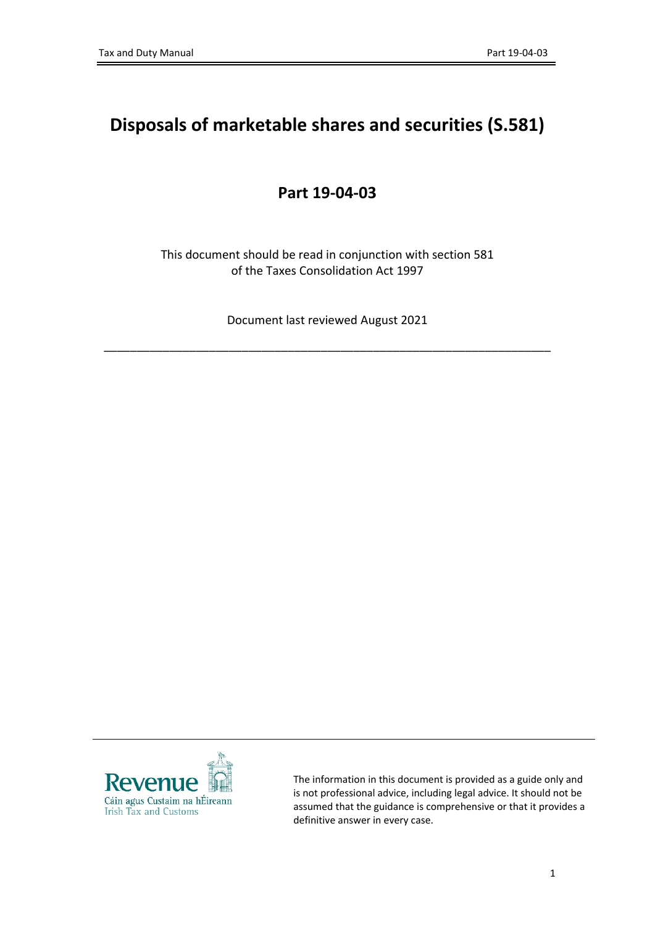## **Disposals of marketable shares and securities (S.581)**

## **Part 19-04-03**

This document should be read in conjunction with section 581 of the Taxes Consolidation Act 1997

Document last reviewed August 2021

\_\_\_\_\_\_\_\_\_\_\_\_\_\_\_\_\_\_\_\_\_\_\_\_\_\_\_\_\_\_\_\_\_\_\_\_\_\_\_\_\_\_\_\_\_\_\_\_\_\_\_\_\_\_\_\_\_\_\_\_\_\_\_\_\_\_\_\_



The information in this document is provided as a guide only and is not professional advice, including legal advice. It should not be assumed that the guidance is comprehensive or that it provides a definitive answer in every case.